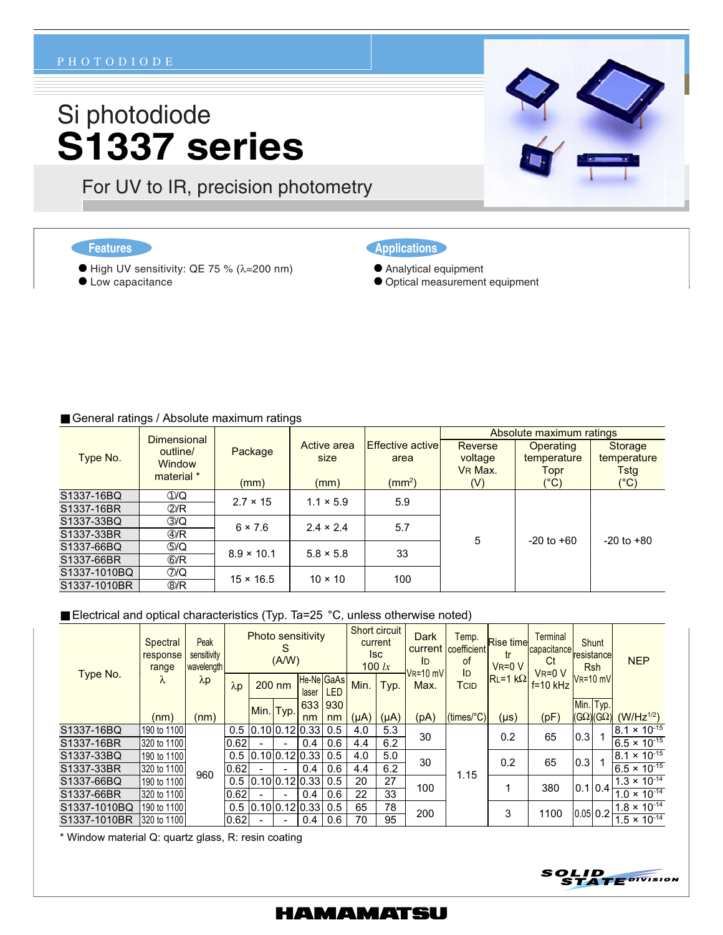#### PHOTODIODE

# Si photodiode **S1337 series**

● High UV sensitivity: QE 75 % (λ=200 nm)

For UV to IR, precision photometry

**Features** 

**CLow capacitance** 

- Applications
- Analytical equipment
	- Optical measurement equipment

#### General ratings / Absolute maximum ratings

| Type No.     | <b>Dimensional</b>       | Package           |                  |                          | Absolute maximum ratings |                |                                       |  |  |  |
|--------------|--------------------------|-------------------|------------------|--------------------------|--------------------------|----------------|---------------------------------------|--|--|--|
|              | outline/                 |                   | Active area      | <b>Effective activel</b> | <b>Reverse</b>           | Operating      | Storage<br>temperature<br><b>Tstg</b> |  |  |  |
|              | <b>Window</b>            |                   | size             | area                     | voltage                  | temperature    |                                       |  |  |  |
|              | material *               |                   |                  |                          | VR Max.                  | Topr           |                                       |  |  |  |
|              |                          | (mm)              | (mm)             | $\rm (mm^2)$             | (V)                      | $(^{\circ}C)$  | $(^{\circ}C)$                         |  |  |  |
| S1337-16BQ   | $\odot$ /Q               | $2.7 \times 15$   | $1.1 \times 5.9$ | 5.9                      |                          |                |                                       |  |  |  |
| S1337-16BR   | $\mathcal{D}/R$          |                   |                  |                          |                          |                |                                       |  |  |  |
| S1337-33BQ   | $\circledS$ /Q           | $6 \times 7.6$    | $2.4 \times 2.4$ | 5.7                      |                          |                | $-20$ to $+80$                        |  |  |  |
| S1337-33BR   | $\circledA/R$            |                   |                  |                          | 5                        | $-20$ to $+60$ |                                       |  |  |  |
| S1337-66BQ   | $\circledS/Q$            | $8.9 \times 10.1$ | $5.8 \times 5.8$ | 33                       |                          |                |                                       |  |  |  |
| S1337-66BR   | $\circledR$              |                   |                  |                          |                          |                |                                       |  |  |  |
| S1337-1010BQ | $\mathcal{D}/\mathbf{Q}$ | $15 \times 16.5$  | $10 \times 10$   | 100                      |                          |                |                                       |  |  |  |
| S1337-1010BR | $\circledR$              |                   |                  |                          |                          |                |                                       |  |  |  |

#### ■ Electrical and optical characteristics (Typ. Ta=25 °C, unless otherwise noted)

| Type No.     | Spectral<br>response<br>range<br>λ | Peak<br>sensitivity<br>wavelength<br>$\lambda p$ | <b>Photo sensitivity</b><br>S<br>(A/W) |                  |          |       | Short circuit<br>current<br><b>Isc</b><br>100 $lx$ |           | Dark<br>ID | Temp.<br>current   coefficient<br>οf | <b>Rise time</b><br>tr<br>$VR = 0 V$     | <b>Terminal</b><br>capacitance<br>Ct<br>$VR=0$ V | Shunt<br>resistance<br><b>Rsh</b> |               | <b>NEP</b>           |                       |
|--------------|------------------------------------|--------------------------------------------------|----------------------------------------|------------------|----------|-------|----------------------------------------------------|-----------|------------|--------------------------------------|------------------------------------------|--------------------------------------------------|-----------------------------------|---------------|----------------------|-----------------------|
|              |                                    |                                                  | $\lambda p$                            |                  | $200$ nm | laser | <b>He-Ne GaAs</b><br><b>LED</b>                    | Min.      | Typ.       | $VR=10$ mV<br>Max.                   | ID<br>TCID                               | $RL=1 k\Omega$                                   | $f = 10$ kHz                      | $V_R = 10$ mV |                      |                       |
|              |                                    |                                                  |                                        |                  |          |       | 633 930                                            |           |            |                                      |                                          |                                                  |                                   | Min. Typ.     |                      |                       |
|              | (nm)                               | (nm)                                             |                                        | Min. Typ.        |          | nm    | nm                                                 | $(\mu A)$ | $(\mu A)$  | (pA)                                 | $(\text{times}$ <sup>o</sup> $\text{C})$ | (µs)                                             | (pF)                              |               | $(G\Omega)(G\Omega)$ | $(W/Hz^{1/2})$        |
| S1337-16BQ   | 190 to 1100                        | 960                                              | 0.5                                    | 10.1010.1210.331 |          |       | 0.5                                                | 4.0       | 5.3        |                                      | 30<br>30<br>1.15<br>100<br>200           | 0.2                                              | 65                                | 0.3           |                      | $8.1 \times 10^{-15}$ |
| S1337-16BR   | 320 to 1100                        |                                                  | 0.62                                   |                  |          | 0.4   | 0.6                                                | 4.4       | 6.2        |                                      |                                          |                                                  |                                   |               |                      | $6.5 \times 10^{-15}$ |
| S1337-33BQ   | 190 to 1100                        |                                                  | 0.5                                    | 0.10 0.12 0.33   |          |       | 0.5                                                | 4.0       | 5.0        |                                      |                                          | 0.2                                              | 65                                | 0.3           |                      | $8.1 \times 10^{-15}$ |
| S1337-33BR   | 320 to 1100                        |                                                  | 0.62                                   |                  |          | 0.4   | 0.6                                                | 4.4       | 6.2        |                                      |                                          |                                                  |                                   |               |                      | $6.5 \times 10^{-15}$ |
| S1337-66BQ   | 190 to 1100                        |                                                  | 0.5                                    | 10.1010.1210.331 |          |       | 0.5                                                | 20        | 27         |                                      |                                          |                                                  | 380                               | 0.1 0.4       |                      | $1.3 \times 10^{-14}$ |
| S1337-66BR   | 320 to 1100                        |                                                  | 0.62                                   |                  |          | 0.4   | 0.6                                                | 22        | 33         |                                      |                                          |                                                  |                                   |               |                      | $1.0 \times 10^{-14}$ |
| S1337-1010BQ | 190 to 1100                        |                                                  | 0.5                                    | 10.1010.1210.331 |          |       | 0.5                                                | 65        | 78         |                                      |                                          | 3                                                | 1100                              | 0.05 0.2      |                      | $1.8 \times 10^{-14}$ |
| S1337-1010BR | 320 to 1100                        |                                                  | 0.62                                   |                  |          | 0.4   | 0.6                                                | 70        | 95         |                                      |                                          |                                                  |                                   |               |                      | $1.5 \times 10^{-14}$ |

\* Window material Q: quartz glass, R: resin coating





### **HAMAMATSU**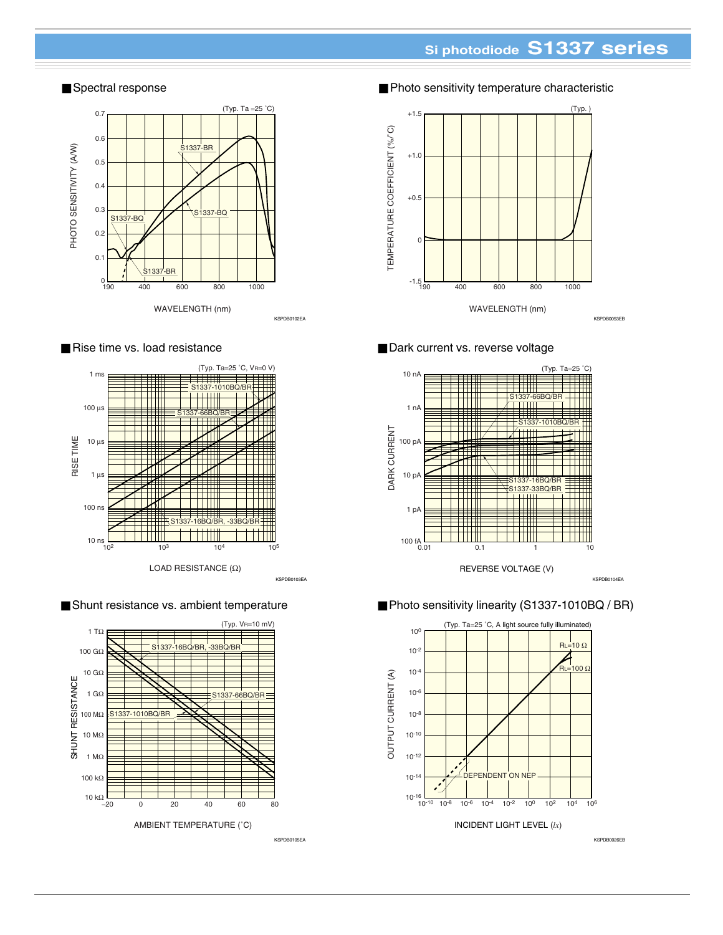# **Si photodiode S1337 series**

### ■ Spectral response



#### ■ Rise time vs. load resistance



■ Shunt resistance vs. ambient temperature



■ Photo sensitivity temperature characteristic



### ■ Dark current vs. reverse voltage



#### ■ Photo sensitivity linearity (S1337-1010BQ / BR)



KSPDB0105EA KSPDB0026EB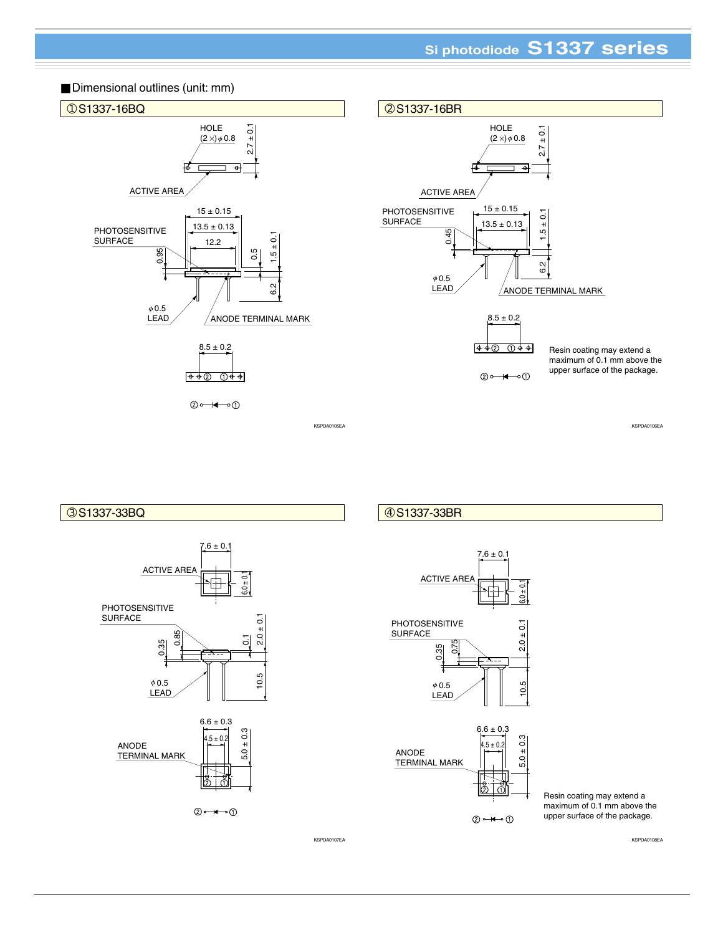# **Si photodiode S1337 series**





KSPDA0107EA KSPDA0108EA